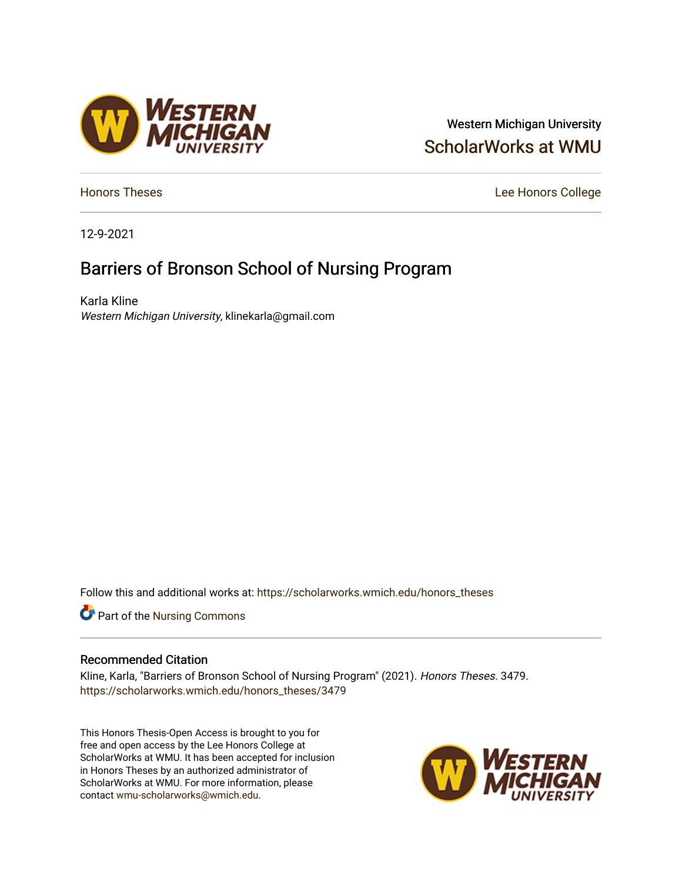## Western Michigan University [ScholarWorks at WMU](https://scholarworks.wmich.edu/)

[Honors Theses](https://scholarworks.wmich.edu/honors_theses) **Lee Honors** College

12-9-2021

# Barriers of Bronson School of Nursing Program

Karla Kline Western Michigan University, klinekarla@gmail.com

/ESTERN<br>¶ICHIGAN

Follow this and additional works at: [https://scholarworks.wmich.edu/honors\\_theses](https://scholarworks.wmich.edu/honors_theses?utm_source=scholarworks.wmich.edu%2Fhonors_theses%2F3479&utm_medium=PDF&utm_campaign=PDFCoverPages)

Part of the [Nursing Commons](http://network.bepress.com/hgg/discipline/718?utm_source=scholarworks.wmich.edu%2Fhonors_theses%2F3479&utm_medium=PDF&utm_campaign=PDFCoverPages) 

#### Recommended Citation

Kline, Karla, "Barriers of Bronson School of Nursing Program" (2021). Honors Theses. 3479. [https://scholarworks.wmich.edu/honors\\_theses/3479](https://scholarworks.wmich.edu/honors_theses/3479?utm_source=scholarworks.wmich.edu%2Fhonors_theses%2F3479&utm_medium=PDF&utm_campaign=PDFCoverPages) 

This Honors Thesis-Open Access is brought to you for free and open access by the Lee Honors College at ScholarWorks at WMU. It has been accepted for inclusion in Honors Theses by an authorized administrator of ScholarWorks at WMU. For more information, please contact [wmu-scholarworks@wmich.edu](mailto:wmu-scholarworks@wmich.edu).

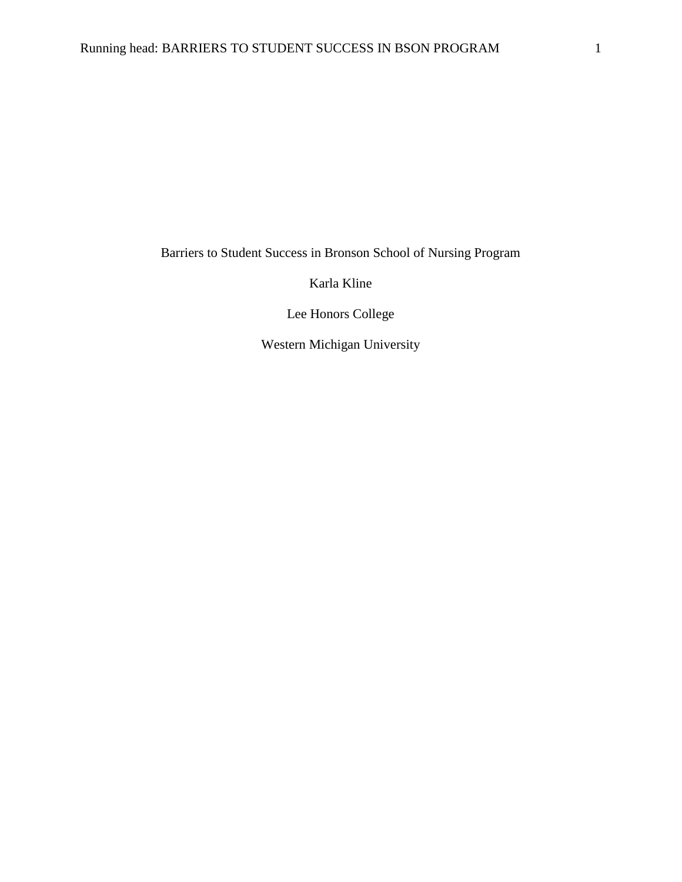Barriers to Student Success in Bronson School of Nursing Program

Karla Kline

Lee Honors College

Western Michigan University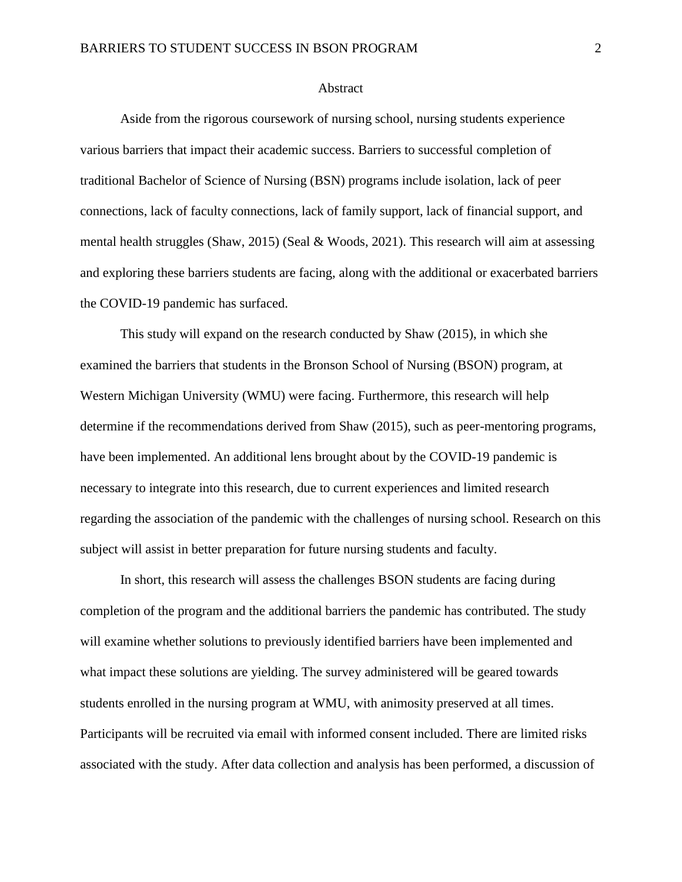#### **Abstract**

Aside from the rigorous coursework of nursing school, nursing students experience various barriers that impact their academic success. Barriers to successful completion of traditional Bachelor of Science of Nursing (BSN) programs include isolation, lack of peer connections, lack of faculty connections, lack of family support, lack of financial support, and mental health struggles (Shaw, 2015) (Seal & Woods, 2021). This research will aim at assessing and exploring these barriers students are facing, along with the additional or exacerbated barriers the COVID-19 pandemic has surfaced.

This study will expand on the research conducted by Shaw (2015), in which she examined the barriers that students in the Bronson School of Nursing (BSON) program, at Western Michigan University (WMU) were facing. Furthermore, this research will help determine if the recommendations derived from Shaw (2015), such as peer-mentoring programs, have been implemented. An additional lens brought about by the COVID-19 pandemic is necessary to integrate into this research, due to current experiences and limited research regarding the association of the pandemic with the challenges of nursing school. Research on this subject will assist in better preparation for future nursing students and faculty.

In short, this research will assess the challenges BSON students are facing during completion of the program and the additional barriers the pandemic has contributed. The study will examine whether solutions to previously identified barriers have been implemented and what impact these solutions are yielding. The survey administered will be geared towards students enrolled in the nursing program at WMU, with animosity preserved at all times. Participants will be recruited via email with informed consent included. There are limited risks associated with the study. After data collection and analysis has been performed, a discussion of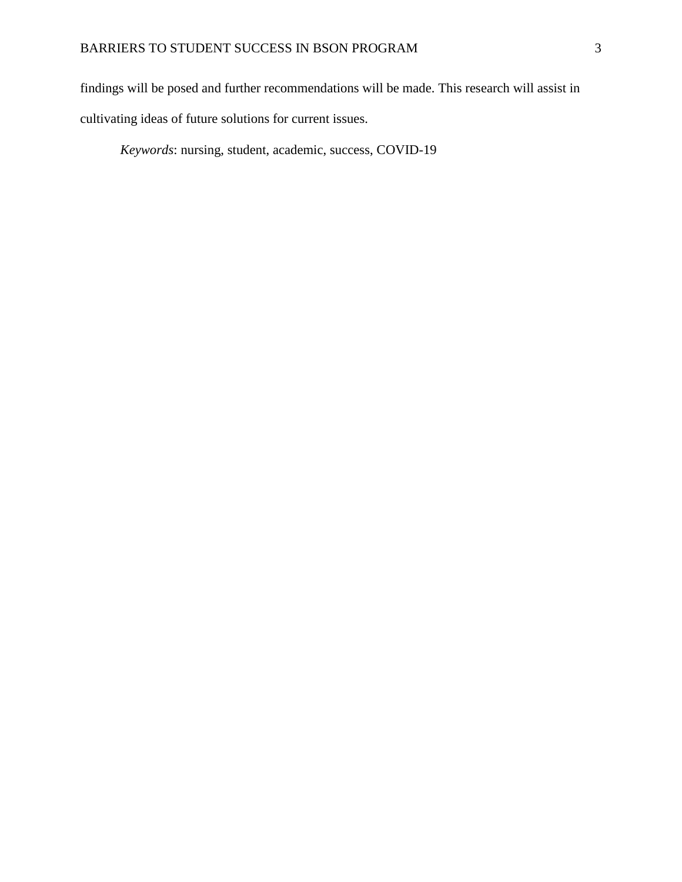findings will be posed and further recommendations will be made. This research will assist in

cultivating ideas of future solutions for current issues.

*Keywords*: nursing, student, academic, success, COVID-19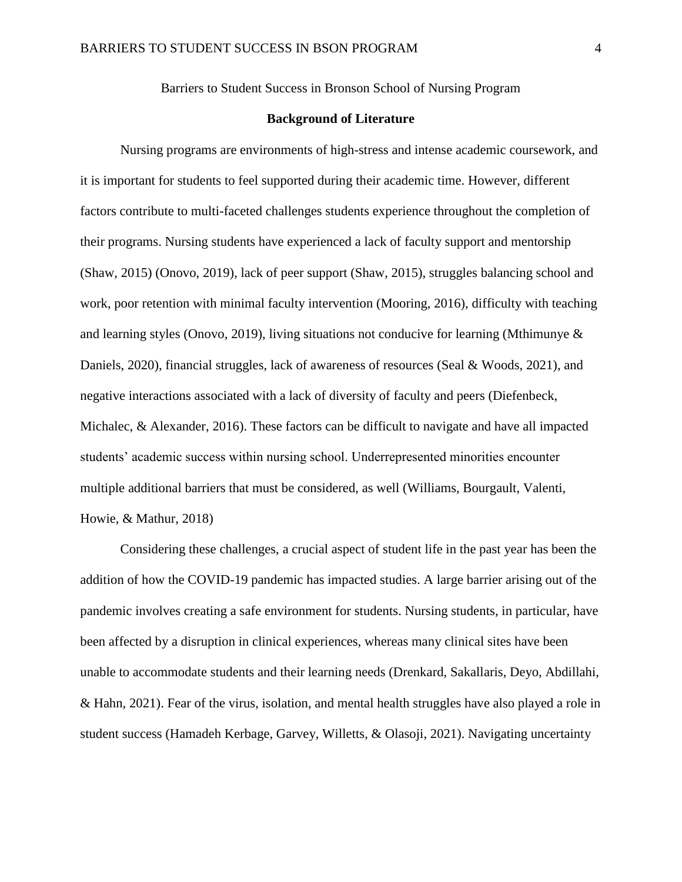Barriers to Student Success in Bronson School of Nursing Program

#### **Background of Literature**

Nursing programs are environments of high-stress and intense academic coursework, and it is important for students to feel supported during their academic time. However, different factors contribute to multi-faceted challenges students experience throughout the completion of their programs. Nursing students have experienced a lack of faculty support and mentorship (Shaw, 2015) (Onovo, 2019), lack of peer support (Shaw, 2015), struggles balancing school and work, poor retention with minimal faculty intervention (Mooring, 2016), difficulty with teaching and learning styles (Onovo, 2019), living situations not conducive for learning (Mthimunye & Daniels, 2020), financial struggles, lack of awareness of resources (Seal & Woods, 2021), and negative interactions associated with a lack of diversity of faculty and peers (Diefenbeck, Michalec, & Alexander, 2016). These factors can be difficult to navigate and have all impacted students' academic success within nursing school. Underrepresented minorities encounter multiple additional barriers that must be considered, as well (Williams, Bourgault, Valenti, Howie, & Mathur, 2018)

Considering these challenges, a crucial aspect of student life in the past year has been the addition of how the COVID-19 pandemic has impacted studies. A large barrier arising out of the pandemic involves creating a safe environment for students. Nursing students, in particular, have been affected by a disruption in clinical experiences, whereas many clinical sites have been unable to accommodate students and their learning needs (Drenkard, Sakallaris, Deyo, Abdillahi, & Hahn, 2021). Fear of the virus, isolation, and mental health struggles have also played a role in student success (Hamadeh Kerbage, Garvey, Willetts, & Olasoji, 2021). Navigating uncertainty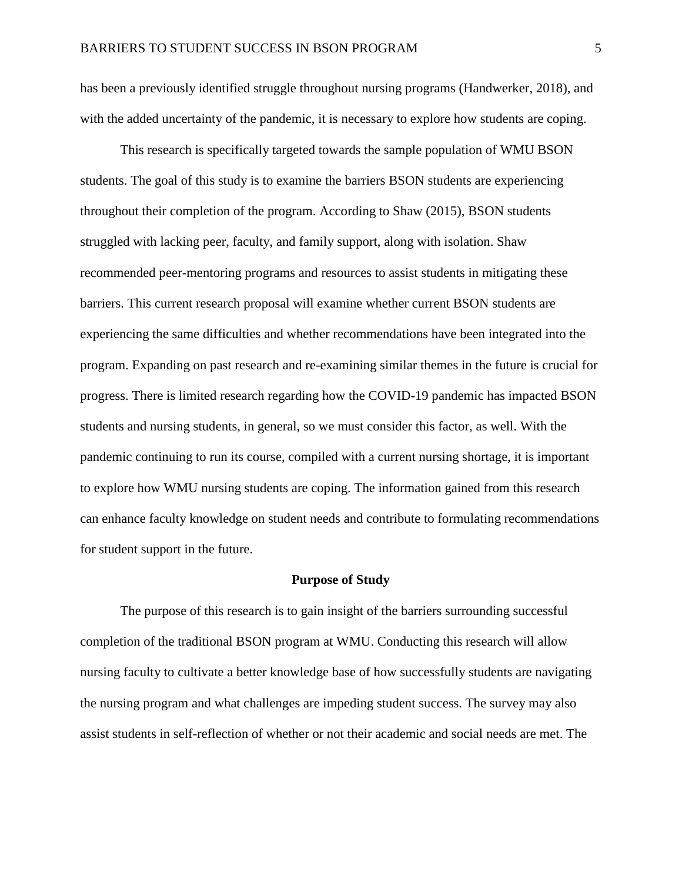has been a previously identified struggle throughout nursing programs (Handwerker, 2018), and with the added uncertainty of the pandemic, it is necessary to explore how students are coping.

This research is specifically targeted towards the sample population of WMU BSON students. The goal of this study is to examine the barriers BSON students are experiencing throughout their completion of the program. According to Shaw (2015), BSON students struggled with lacking peer, faculty, and family support, along with isolation. Shaw recommended peer-mentoring programs and resources to assist students in mitigating these barriers. This current research proposal will examine whether current BSON students are experiencing the same difficulties and whether recommendations have been integrated into the program. Expanding on past research and re-examining similar themes in the future is crucial for progress. There is limited research regarding how the COVID-19 pandemic has impacted BSON students and nursing students, in general, so we must consider this factor, as well. With the pandemic continuing to run its course, compiled with a current nursing shortage, it is important to explore how WMU nursing students are coping. The information gained from this research can enhance faculty knowledge on student needs and contribute to formulating recommendations for student support in the future.

#### **Purpose of Study**

The purpose of this research is to gain insight of the barriers surrounding successful completion of the traditional BSON program at WMU. Conducting this research will allow nursing faculty to cultivate a better knowledge base of how successfully students are navigating the nursing program and what challenges are impeding student success. The survey may also assist students in self-reflection of whether or not their academic and social needs are met. The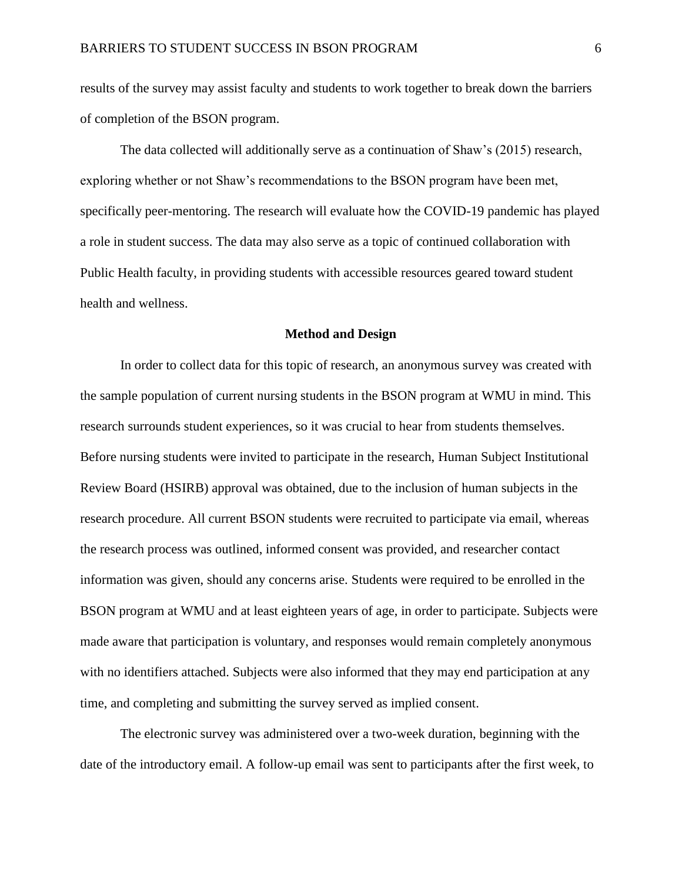results of the survey may assist faculty and students to work together to break down the barriers of completion of the BSON program.

The data collected will additionally serve as a continuation of Shaw's (2015) research, exploring whether or not Shaw's recommendations to the BSON program have been met, specifically peer-mentoring. The research will evaluate how the COVID-19 pandemic has played a role in student success. The data may also serve as a topic of continued collaboration with Public Health faculty, in providing students with accessible resources geared toward student health and wellness.

#### **Method and Design**

In order to collect data for this topic of research, an anonymous survey was created with the sample population of current nursing students in the BSON program at WMU in mind. This research surrounds student experiences, so it was crucial to hear from students themselves. Before nursing students were invited to participate in the research, Human Subject Institutional Review Board (HSIRB) approval was obtained, due to the inclusion of human subjects in the research procedure. All current BSON students were recruited to participate via email, whereas the research process was outlined, informed consent was provided, and researcher contact information was given, should any concerns arise. Students were required to be enrolled in the BSON program at WMU and at least eighteen years of age, in order to participate. Subjects were made aware that participation is voluntary, and responses would remain completely anonymous with no identifiers attached. Subjects were also informed that they may end participation at any time, and completing and submitting the survey served as implied consent.

The electronic survey was administered over a two-week duration, beginning with the date of the introductory email. A follow-up email was sent to participants after the first week, to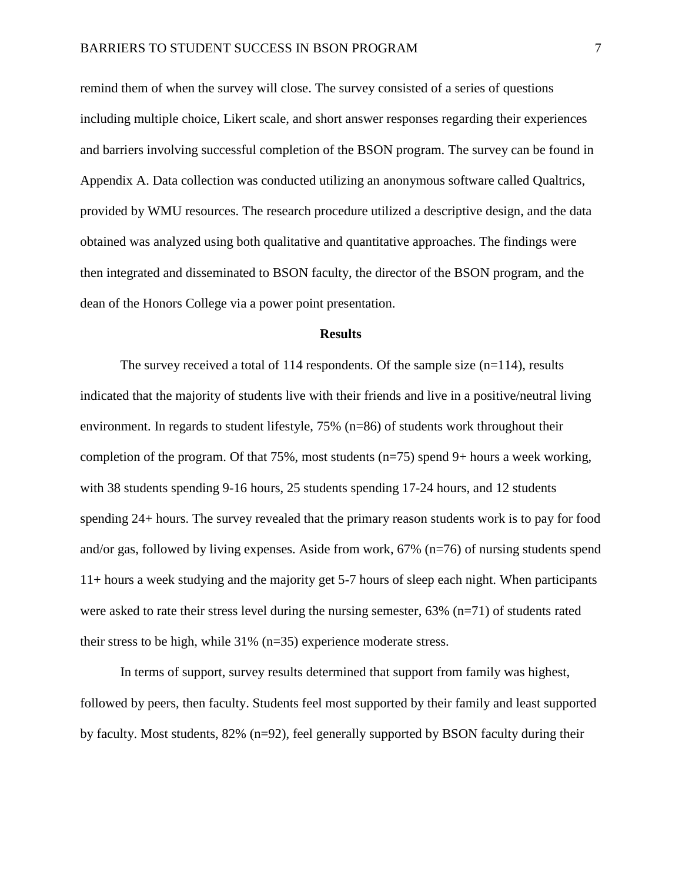remind them of when the survey will close. The survey consisted of a series of questions including multiple choice, Likert scale, and short answer responses regarding their experiences and barriers involving successful completion of the BSON program. The survey can be found in Appendix A. Data collection was conducted utilizing an anonymous software called Qualtrics, provided by WMU resources. The research procedure utilized a descriptive design, and the data obtained was analyzed using both qualitative and quantitative approaches. The findings were then integrated and disseminated to BSON faculty, the director of the BSON program, and the dean of the Honors College via a power point presentation.

#### **Results**

The survey received a total of 114 respondents. Of the sample size  $(n=114)$ , results indicated that the majority of students live with their friends and live in a positive/neutral living environment. In regards to student lifestyle, 75% (n=86) of students work throughout their completion of the program. Of that 75%, most students (n=75) spend 9+ hours a week working, with 38 students spending 9-16 hours, 25 students spending 17-24 hours, and 12 students spending 24+ hours. The survey revealed that the primary reason students work is to pay for food and/or gas, followed by living expenses. Aside from work, 67% (n=76) of nursing students spend 11+ hours a week studying and the majority get 5-7 hours of sleep each night. When participants were asked to rate their stress level during the nursing semester,  $63\%$  (n=71) of students rated their stress to be high, while 31% (n=35) experience moderate stress.

In terms of support, survey results determined that support from family was highest, followed by peers, then faculty. Students feel most supported by their family and least supported by faculty. Most students, 82% (n=92), feel generally supported by BSON faculty during their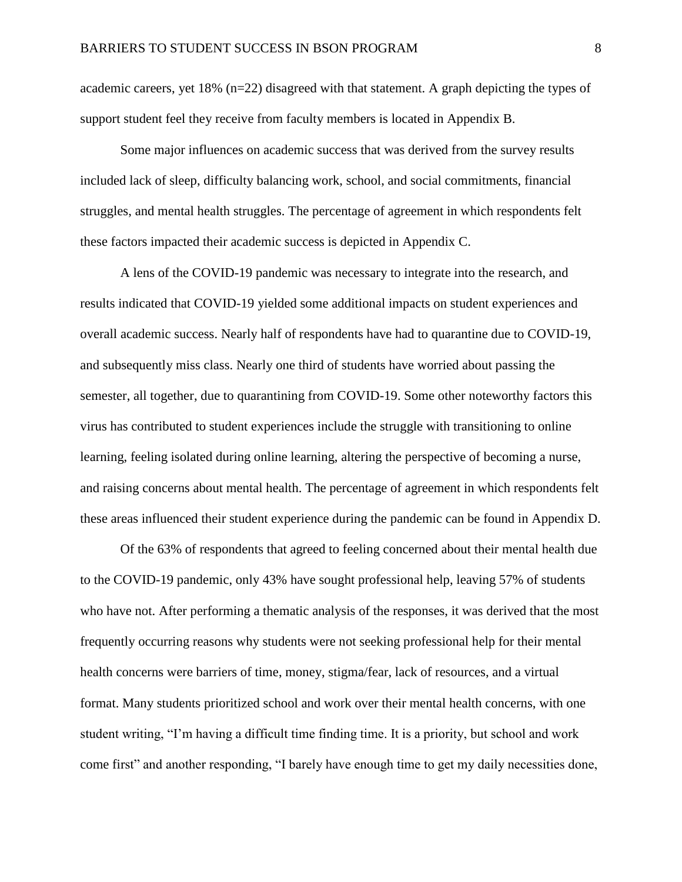academic careers, yet 18% (n=22) disagreed with that statement. A graph depicting the types of support student feel they receive from faculty members is located in Appendix B.

Some major influences on academic success that was derived from the survey results included lack of sleep, difficulty balancing work, school, and social commitments, financial struggles, and mental health struggles. The percentage of agreement in which respondents felt these factors impacted their academic success is depicted in Appendix C.

A lens of the COVID-19 pandemic was necessary to integrate into the research, and results indicated that COVID-19 yielded some additional impacts on student experiences and overall academic success. Nearly half of respondents have had to quarantine due to COVID-19, and subsequently miss class. Nearly one third of students have worried about passing the semester, all together, due to quarantining from COVID-19. Some other noteworthy factors this virus has contributed to student experiences include the struggle with transitioning to online learning, feeling isolated during online learning, altering the perspective of becoming a nurse, and raising concerns about mental health. The percentage of agreement in which respondents felt these areas influenced their student experience during the pandemic can be found in Appendix D.

Of the 63% of respondents that agreed to feeling concerned about their mental health due to the COVID-19 pandemic, only 43% have sought professional help, leaving 57% of students who have not. After performing a thematic analysis of the responses, it was derived that the most frequently occurring reasons why students were not seeking professional help for their mental health concerns were barriers of time, money, stigma/fear, lack of resources, and a virtual format. Many students prioritized school and work over their mental health concerns, with one student writing, "I'm having a difficult time finding time. It is a priority, but school and work come first" and another responding, "I barely have enough time to get my daily necessities done,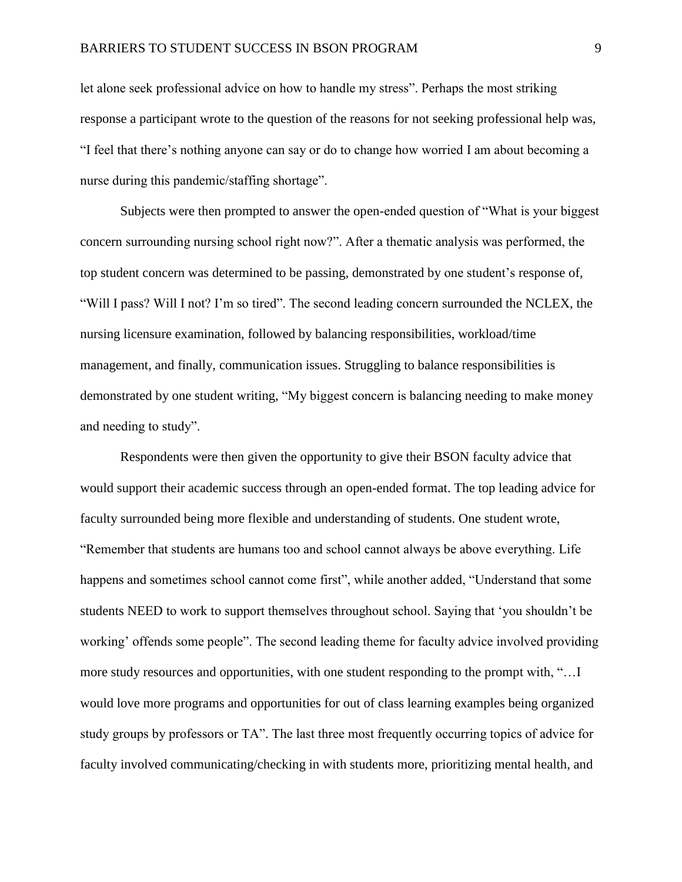let alone seek professional advice on how to handle my stress". Perhaps the most striking response a participant wrote to the question of the reasons for not seeking professional help was, "I feel that there's nothing anyone can say or do to change how worried I am about becoming a nurse during this pandemic/staffing shortage".

Subjects were then prompted to answer the open-ended question of "What is your biggest concern surrounding nursing school right now?". After a thematic analysis was performed, the top student concern was determined to be passing, demonstrated by one student's response of, "Will I pass? Will I not? I'm so tired". The second leading concern surrounded the NCLEX, the nursing licensure examination, followed by balancing responsibilities, workload/time management, and finally, communication issues. Struggling to balance responsibilities is demonstrated by one student writing, "My biggest concern is balancing needing to make money and needing to study".

Respondents were then given the opportunity to give their BSON faculty advice that would support their academic success through an open-ended format. The top leading advice for faculty surrounded being more flexible and understanding of students. One student wrote, "Remember that students are humans too and school cannot always be above everything. Life happens and sometimes school cannot come first", while another added, "Understand that some students NEED to work to support themselves throughout school. Saying that 'you shouldn't be working' offends some people". The second leading theme for faculty advice involved providing more study resources and opportunities, with one student responding to the prompt with, "…I would love more programs and opportunities for out of class learning examples being organized study groups by professors or TA". The last three most frequently occurring topics of advice for faculty involved communicating/checking in with students more, prioritizing mental health, and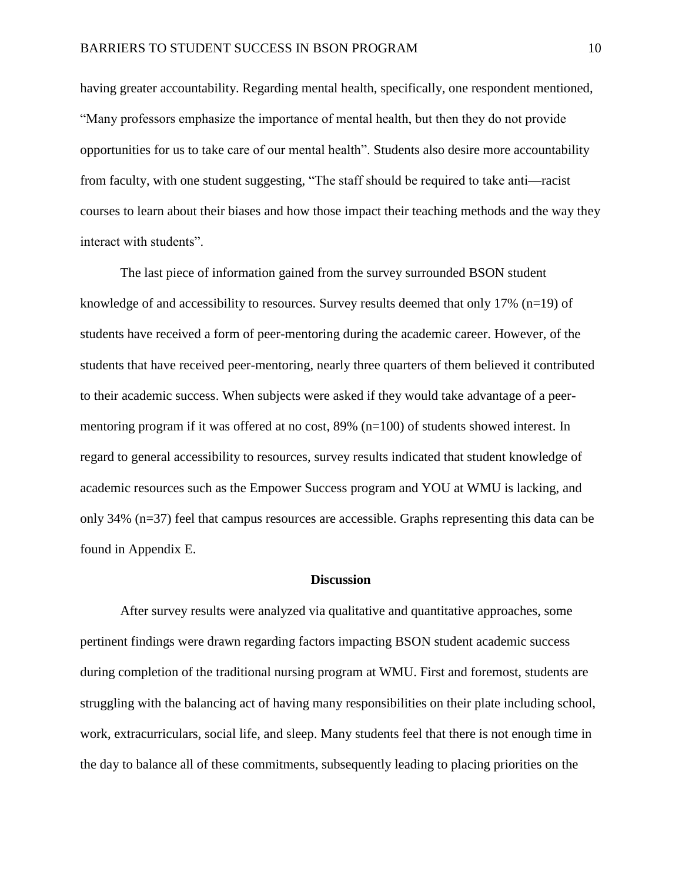having greater accountability. Regarding mental health, specifically, one respondent mentioned, "Many professors emphasize the importance of mental health, but then they do not provide opportunities for us to take care of our mental health". Students also desire more accountability from faculty, with one student suggesting, "The staff should be required to take anti—racist courses to learn about their biases and how those impact their teaching methods and the way they interact with students".

The last piece of information gained from the survey surrounded BSON student knowledge of and accessibility to resources. Survey results deemed that only 17% ( $n=19$ ) of students have received a form of peer-mentoring during the academic career. However, of the students that have received peer-mentoring, nearly three quarters of them believed it contributed to their academic success. When subjects were asked if they would take advantage of a peermentoring program if it was offered at no cost, 89% (n=100) of students showed interest. In regard to general accessibility to resources, survey results indicated that student knowledge of academic resources such as the Empower Success program and YOU at WMU is lacking, and only 34% (n=37) feel that campus resources are accessible. Graphs representing this data can be found in Appendix E.

#### **Discussion**

After survey results were analyzed via qualitative and quantitative approaches, some pertinent findings were drawn regarding factors impacting BSON student academic success during completion of the traditional nursing program at WMU. First and foremost, students are struggling with the balancing act of having many responsibilities on their plate including school, work, extracurriculars, social life, and sleep. Many students feel that there is not enough time in the day to balance all of these commitments, subsequently leading to placing priorities on the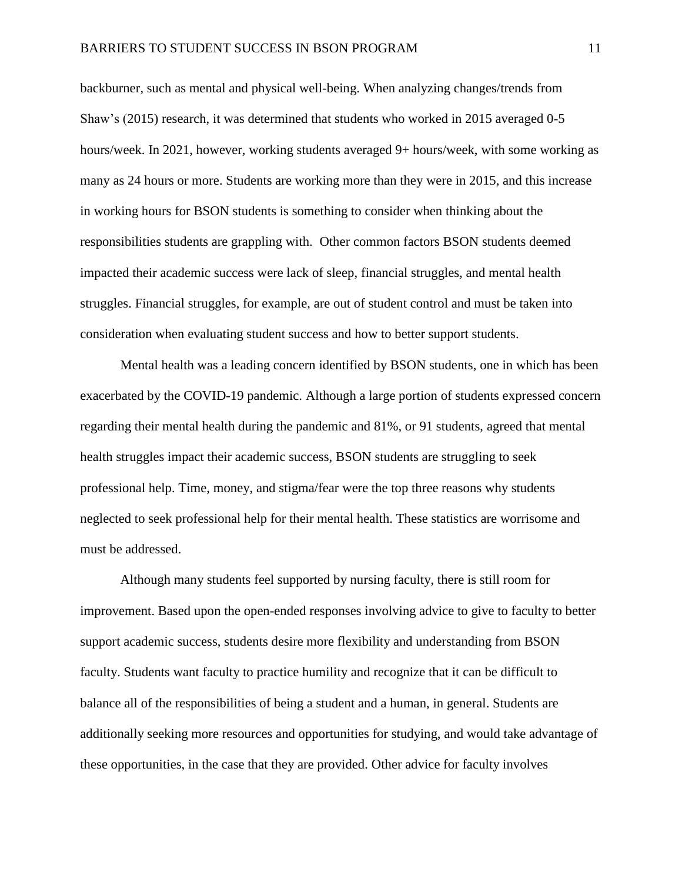backburner, such as mental and physical well-being. When analyzing changes/trends from Shaw's (2015) research, it was determined that students who worked in 2015 averaged 0-5 hours/week. In 2021, however, working students averaged 9+ hours/week, with some working as many as 24 hours or more. Students are working more than they were in 2015, and this increase in working hours for BSON students is something to consider when thinking about the responsibilities students are grappling with. Other common factors BSON students deemed impacted their academic success were lack of sleep, financial struggles, and mental health struggles. Financial struggles, for example, are out of student control and must be taken into consideration when evaluating student success and how to better support students.

Mental health was a leading concern identified by BSON students, one in which has been exacerbated by the COVID-19 pandemic. Although a large portion of students expressed concern regarding their mental health during the pandemic and 81%, or 91 students, agreed that mental health struggles impact their academic success, BSON students are struggling to seek professional help. Time, money, and stigma/fear were the top three reasons why students neglected to seek professional help for their mental health. These statistics are worrisome and must be addressed.

Although many students feel supported by nursing faculty, there is still room for improvement. Based upon the open-ended responses involving advice to give to faculty to better support academic success, students desire more flexibility and understanding from BSON faculty. Students want faculty to practice humility and recognize that it can be difficult to balance all of the responsibilities of being a student and a human, in general. Students are additionally seeking more resources and opportunities for studying, and would take advantage of these opportunities, in the case that they are provided. Other advice for faculty involves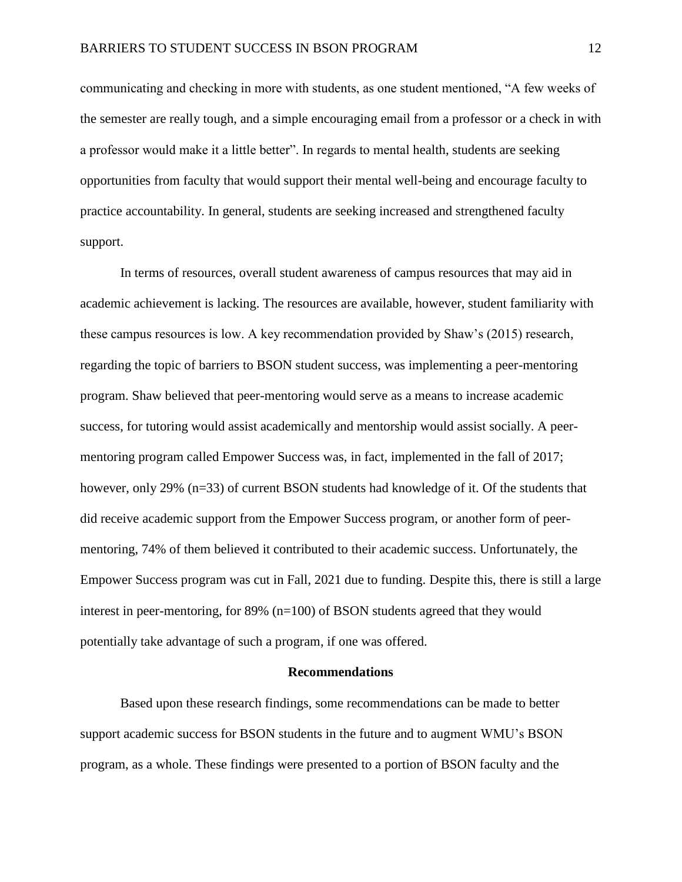communicating and checking in more with students, as one student mentioned, "A few weeks of the semester are really tough, and a simple encouraging email from a professor or a check in with a professor would make it a little better". In regards to mental health, students are seeking opportunities from faculty that would support their mental well-being and encourage faculty to practice accountability. In general, students are seeking increased and strengthened faculty support.

In terms of resources, overall student awareness of campus resources that may aid in academic achievement is lacking. The resources are available, however, student familiarity with these campus resources is low. A key recommendation provided by Shaw's (2015) research, regarding the topic of barriers to BSON student success, was implementing a peer-mentoring program. Shaw believed that peer-mentoring would serve as a means to increase academic success, for tutoring would assist academically and mentorship would assist socially. A peermentoring program called Empower Success was, in fact, implemented in the fall of 2017; however, only 29% (n=33) of current BSON students had knowledge of it. Of the students that did receive academic support from the Empower Success program, or another form of peermentoring, 74% of them believed it contributed to their academic success. Unfortunately, the Empower Success program was cut in Fall, 2021 due to funding. Despite this, there is still a large interest in peer-mentoring, for 89% (n=100) of BSON students agreed that they would potentially take advantage of such a program, if one was offered.

#### **Recommendations**

Based upon these research findings, some recommendations can be made to better support academic success for BSON students in the future and to augment WMU's BSON program, as a whole. These findings were presented to a portion of BSON faculty and the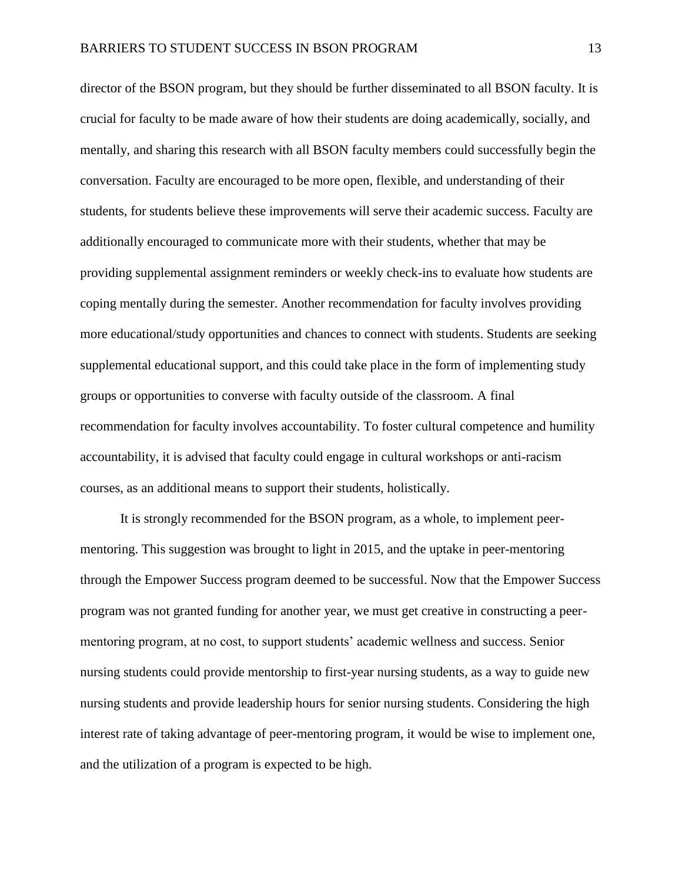director of the BSON program, but they should be further disseminated to all BSON faculty. It is crucial for faculty to be made aware of how their students are doing academically, socially, and mentally, and sharing this research with all BSON faculty members could successfully begin the conversation. Faculty are encouraged to be more open, flexible, and understanding of their students, for students believe these improvements will serve their academic success. Faculty are additionally encouraged to communicate more with their students, whether that may be providing supplemental assignment reminders or weekly check-ins to evaluate how students are coping mentally during the semester. Another recommendation for faculty involves providing more educational/study opportunities and chances to connect with students. Students are seeking supplemental educational support, and this could take place in the form of implementing study groups or opportunities to converse with faculty outside of the classroom. A final recommendation for faculty involves accountability. To foster cultural competence and humility accountability, it is advised that faculty could engage in cultural workshops or anti-racism courses, as an additional means to support their students, holistically.

It is strongly recommended for the BSON program, as a whole, to implement peermentoring. This suggestion was brought to light in 2015, and the uptake in peer-mentoring through the Empower Success program deemed to be successful. Now that the Empower Success program was not granted funding for another year, we must get creative in constructing a peermentoring program, at no cost, to support students' academic wellness and success. Senior nursing students could provide mentorship to first-year nursing students, as a way to guide new nursing students and provide leadership hours for senior nursing students. Considering the high interest rate of taking advantage of peer-mentoring program, it would be wise to implement one, and the utilization of a program is expected to be high.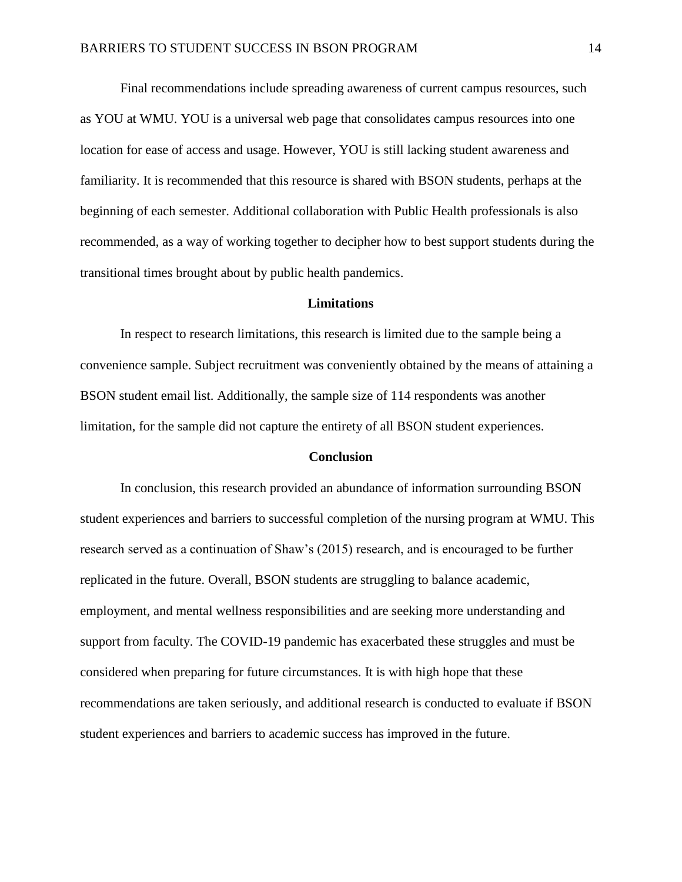Final recommendations include spreading awareness of current campus resources, such as YOU at WMU. YOU is a universal web page that consolidates campus resources into one location for ease of access and usage. However, YOU is still lacking student awareness and familiarity. It is recommended that this resource is shared with BSON students, perhaps at the beginning of each semester. Additional collaboration with Public Health professionals is also recommended, as a way of working together to decipher how to best support students during the transitional times brought about by public health pandemics.

#### **Limitations**

In respect to research limitations, this research is limited due to the sample being a convenience sample. Subject recruitment was conveniently obtained by the means of attaining a BSON student email list. Additionally, the sample size of 114 respondents was another limitation, for the sample did not capture the entirety of all BSON student experiences.

#### **Conclusion**

In conclusion, this research provided an abundance of information surrounding BSON student experiences and barriers to successful completion of the nursing program at WMU. This research served as a continuation of Shaw's (2015) research, and is encouraged to be further replicated in the future. Overall, BSON students are struggling to balance academic, employment, and mental wellness responsibilities and are seeking more understanding and support from faculty. The COVID-19 pandemic has exacerbated these struggles and must be considered when preparing for future circumstances. It is with high hope that these recommendations are taken seriously, and additional research is conducted to evaluate if BSON student experiences and barriers to academic success has improved in the future.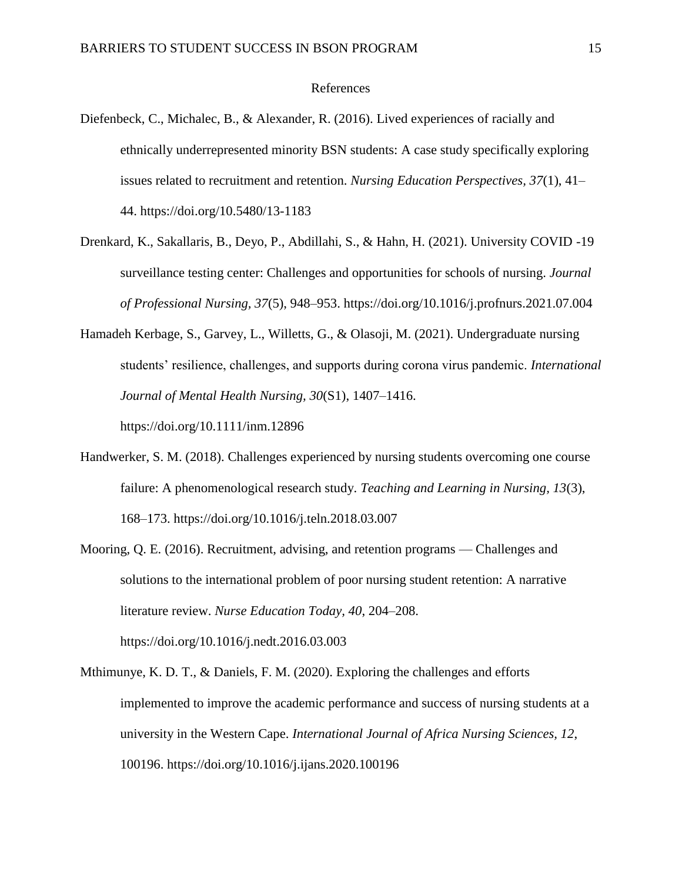#### References

- Diefenbeck, C., Michalec, B., & Alexander, R. (2016). Lived experiences of racially and ethnically underrepresented minority BSN students: A case study specifically exploring issues related to recruitment and retention. *Nursing Education Perspectives, 37*(1), 41– 44. https://doi.org/10.5480/13-1183
- Drenkard, K., Sakallaris, B., Deyo, P., Abdillahi, S., & Hahn, H. (2021). University COVID -19 surveillance testing center: Challenges and opportunities for schools of nursing. *Journal of Professional Nursing, 37*(5), 948–953. https://doi.org/10.1016/j.profnurs.2021.07.004
- Hamadeh Kerbage, S., Garvey, L., Willetts, G., & Olasoji, M. (2021). Undergraduate nursing students' resilience, challenges, and supports during corona virus pandemic. *International Journal of Mental Health Nursing, 30*(S1), 1407–1416.

https://doi.org/10.1111/inm.12896

- Handwerker, S. M. (2018). Challenges experienced by nursing students overcoming one course failure: A phenomenological research study. *Teaching and Learning in Nursing, 13*(3), 168–173. https://doi.org/10.1016/j.teln.2018.03.007
- Mooring, Q. E. (2016). Recruitment, advising, and retention programs Challenges and solutions to the international problem of poor nursing student retention: A narrative literature review. *Nurse Education Today, 40*, 204–208. https://doi.org/10.1016/j.nedt.2016.03.003
- Mthimunye, K. D. T., & Daniels, F. M. (2020). Exploring the challenges and efforts implemented to improve the academic performance and success of nursing students at a university in the Western Cape. *International Journal of Africa Nursing Sciences, 12*, 100196. https://doi.org/10.1016/j.ijans.2020.100196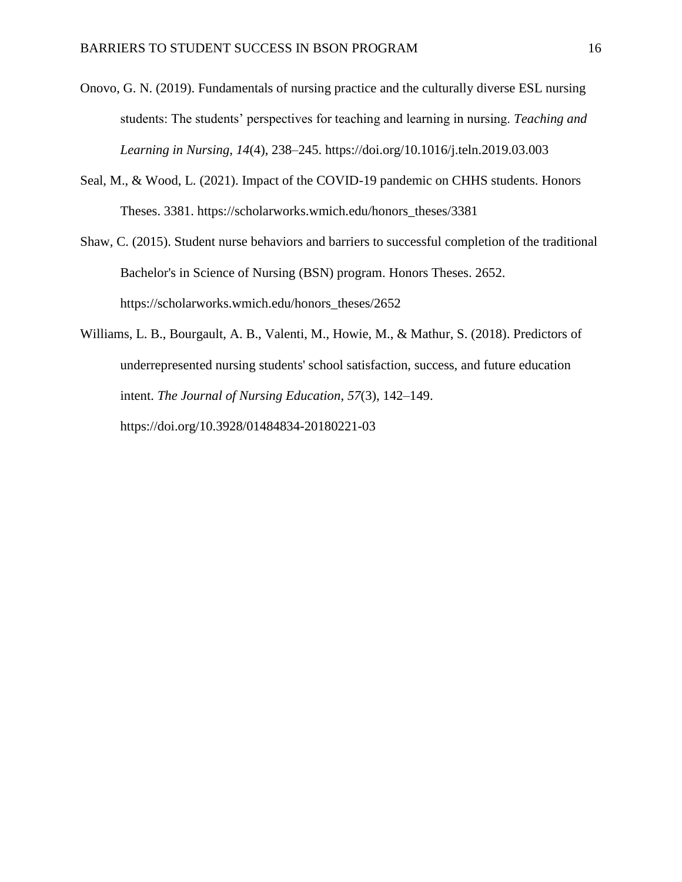- Onovo, G. N. (2019). Fundamentals of nursing practice and the culturally diverse ESL nursing students: The students' perspectives for teaching and learning in nursing. *Teaching and Learning in Nursing, 14*(4), 238–245. https://doi.org/10.1016/j.teln.2019.03.003
- Seal, M., & Wood, L. (2021). Impact of the COVID-19 pandemic on CHHS students. Honors Theses. 3381. https://scholarworks.wmich.edu/honors\_theses/3381
- Shaw, C. (2015). Student nurse behaviors and barriers to successful completion of the traditional Bachelor's in Science of Nursing (BSN) program. Honors Theses. 2652. https://scholarworks.wmich.edu/honors\_theses/2652
- Williams, L. B., Bourgault, A. B., Valenti, M., Howie, M., & Mathur, S. (2018). Predictors of underrepresented nursing students' school satisfaction, success, and future education intent. *The Journal of Nursing Education*, *57*(3), 142–149. https://doi.org/10.3928/01484834-20180221-03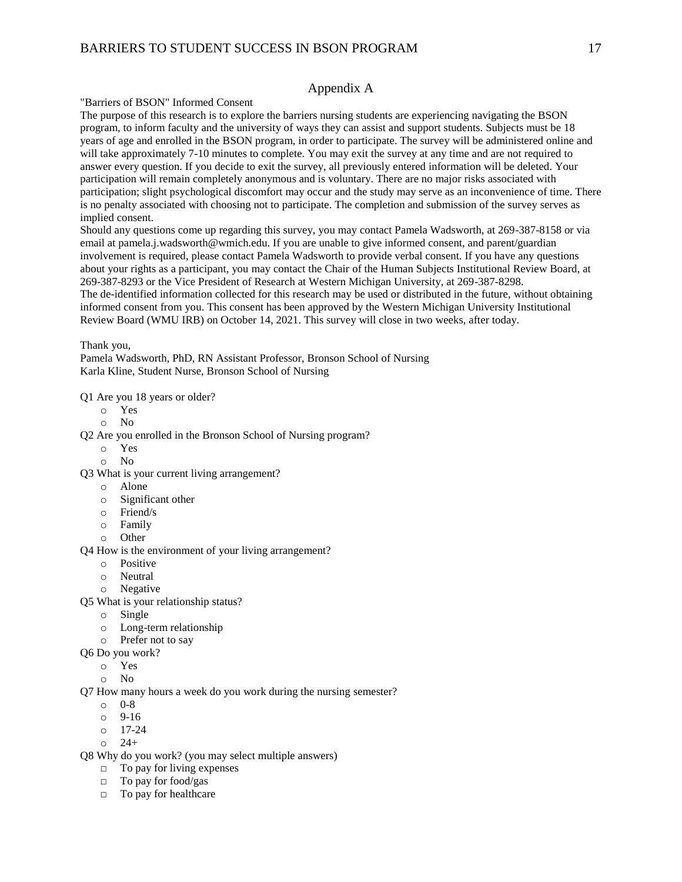#### Appendix A

"Barriers of BSON" Informed Consent

The purpose of this research is to explore the barriers nursing students are experiencing navigating the BSON program, to inform faculty and the university of ways they can assist and support students. Subjects must be 18 years of age and enrolled in the BSON program, in order to participate. The survey will be administered online and will take approximately 7-10 minutes to complete. You may exit the survey at any time and are not required to answer every question. If you decide to exit the survey, all previously entered information will be deleted. Your participation will remain completely anonymous and is voluntary. There are no major risks associated with participation; slight psychological discomfort may occur and the study may serve as an inconvenience of time. There is no penalty associated with choosing not to participate. The completion and submission of the survey serves as implied consent.

Should any questions come up regarding this survey, you may contact Pamela Wadsworth, at 269-387-8158 or via email at pamela.j.wadsworth@wmich.edu. If you are unable to give informed consent, and parent/guardian involvement is required, please contact Pamela Wadsworth to provide verbal consent. If you have any questions about your rights as a participant, you may contact the Chair of the Human Subjects Institutional Review Board, at 269-387-8293 or the Vice President of Research at Western Michigan University, at 269-387-8298. The de-identified information collected for this research may be used or distributed in the future, without obtaining informed consent from you. This consent has been approved by the Western Michigan University Institutional Review Board (WMU IRB) on October 14, 2021. This survey will close in two weeks, after today.

Thank you,

Pamela Wadsworth, PhD, RN Assistant Professor, Bronson School of Nursing Karla Kline, Student Nurse, Bronson School of Nursing

Q1 Are you 18 years or older?

- o Yes
- o No

Q2 Are you enrolled in the Bronson School of Nursing program?

- o Yes
- o No
- Q3 What is your current living arrangement?
	- o Alone
	- o Significant other
	- o Friend/s
	- o Family
	- o Other

Q4 How is the environment of your living arrangement?

- o Positive
- o Neutral
- o Negative
- Q5 What is your relationship status?
	- o Single
	- o Long-term relationship
	- o Prefer not to say
- Q6 Do you work?
	- o Yes
	- o No

Q7 How many hours a week do you work during the nursing semester?

- o 0-8
- o 9-16
- o 17-24
- $0 \t 24+$

Q8 Why do you work? (you may select multiple answers)

- $\Box$  To pay for living expenses
- □ To pay for food/gas
- □ To pay for healthcare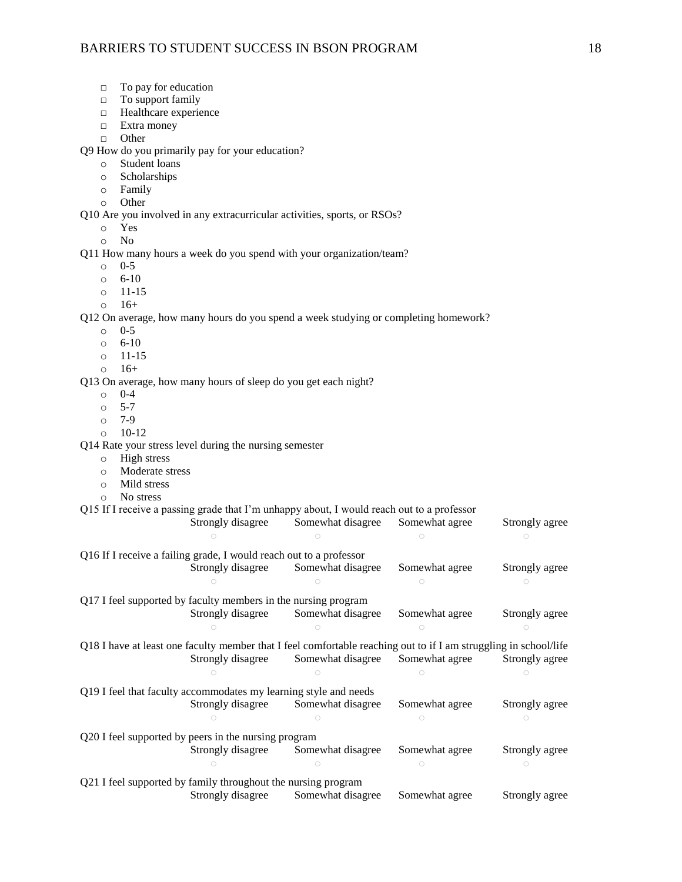- □ To pay for education
- □ To support family
- □ Healthcare experience
- □ Extra money
- □ Other

Q9 How do you primarily pay for your education?

- o Student loans
- o Scholarships
- o Family
- o Other

Q10 Are you involved in any extracurricular activities, sports, or RSOs?

- o Yes
- o No

Q11 How many hours a week do you spend with your organization/team?

- o 0-5
- o 6-10
- o 11-15
- $0 \t16+$

Q12 On average, how many hours do you spend a week studying or completing homework?

- o 0-5
- o 6-10
- o 11-15
- $0 \t16+$

Q13 On average, how many hours of sleep do you get each night?

- o 0-4
- o 5-7
- o 7-9
- $0 10 12$

Q14 Rate your stress level during the nursing semester

- o High stress
- o Moderate stress
- o Mild stress
- o No stress

#### Q15 If I receive a passing grade that I'm unhappy about, I would reach out to a professor

|                                                                                                                  | Strongly disagree | Somewhat disagree | Somewhat agree | Strongly agree |  |  |
|------------------------------------------------------------------------------------------------------------------|-------------------|-------------------|----------------|----------------|--|--|
|                                                                                                                  |                   |                   |                |                |  |  |
| Q16 If I receive a failing grade, I would reach out to a professor                                               |                   |                   |                |                |  |  |
|                                                                                                                  | Strongly disagree | Somewhat disagree | Somewhat agree | Strongly agree |  |  |
|                                                                                                                  |                   |                   |                |                |  |  |
| Q17 I feel supported by faculty members in the nursing program                                                   |                   |                   |                |                |  |  |
|                                                                                                                  | Strongly disagree | Somewhat disagree | Somewhat agree | Strongly agree |  |  |
|                                                                                                                  |                   |                   |                |                |  |  |
| Q18 I have at least one faculty member that I feel comfortable reaching out to if I am struggling in school/life |                   |                   |                |                |  |  |
|                                                                                                                  | Strongly disagree | Somewhat disagree | Somewhat agree | Strongly agree |  |  |
|                                                                                                                  |                   |                   |                |                |  |  |
| Q19 I feel that faculty accommodates my learning style and needs                                                 |                   |                   |                |                |  |  |
|                                                                                                                  | Strongly disagree | Somewhat disagree | Somewhat agree | Strongly agree |  |  |
|                                                                                                                  |                   |                   |                |                |  |  |
| Q20 I feel supported by peers in the nursing program                                                             |                   |                   |                |                |  |  |
|                                                                                                                  | Strongly disagree | Somewhat disagree | Somewhat agree | Strongly agree |  |  |
|                                                                                                                  |                   |                   |                |                |  |  |
| Q21 I feel supported by family throughout the nursing program                                                    |                   |                   |                |                |  |  |
|                                                                                                                  | Strongly disagree | Somewhat disagree | Somewhat agree | Strongly agree |  |  |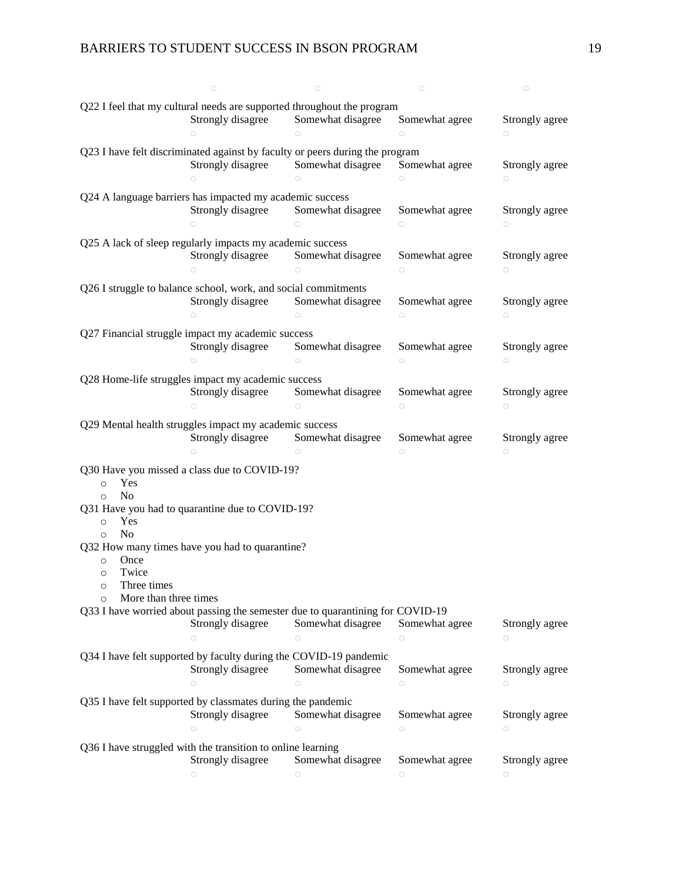### BARRIERS TO STUDENT SUCCESS IN BSON PROGRAM 19

|                                                                        | $\bigcirc$                                                                     | $\bigcirc$                      | $\bigcirc$                   | $\bigcirc$                   |
|------------------------------------------------------------------------|--------------------------------------------------------------------------------|---------------------------------|------------------------------|------------------------------|
|                                                                        |                                                                                |                                 |                              |                              |
| Q22 I feel that my cultural needs are supported throughout the program |                                                                                |                                 |                              |                              |
|                                                                        | Strongly disagree                                                              | Somewhat disagree               | Somewhat agree               | Strongly agree               |
|                                                                        | $\bigcirc$                                                                     | $\bigcirc$                      | $\circ$                      | $\circ$                      |
|                                                                        |                                                                                |                                 |                              |                              |
|                                                                        | Q23 I have felt discriminated against by faculty or peers during the program   |                                 |                              |                              |
|                                                                        | Strongly disagree                                                              | Somewhat disagree               | Somewhat agree               | Strongly agree               |
|                                                                        | $\circ$                                                                        | $\bigcirc$                      | $\bigcirc$                   | $\bigcirc$                   |
|                                                                        |                                                                                |                                 |                              |                              |
|                                                                        | Q24 A language barriers has impacted my academic success                       |                                 |                              |                              |
|                                                                        | Strongly disagree                                                              | Somewhat disagree               | Somewhat agree               | Strongly agree               |
|                                                                        | $\bigcirc$                                                                     |                                 |                              |                              |
|                                                                        |                                                                                |                                 | $\circ$                      | $\circ$                      |
|                                                                        | Q25 A lack of sleep regularly impacts my academic success                      |                                 |                              |                              |
|                                                                        | Strongly disagree                                                              | Somewhat disagree               | Somewhat agree               | Strongly agree               |
|                                                                        |                                                                                |                                 |                              |                              |
|                                                                        | $\bigcirc$                                                                     | $\circ$                         | $\bigcirc$                   | $\bigcirc$                   |
|                                                                        | Q26 I struggle to balance school, work, and social commitments                 |                                 |                              |                              |
|                                                                        |                                                                                |                                 |                              |                              |
|                                                                        | Strongly disagree                                                              | Somewhat disagree               | Somewhat agree               | Strongly agree               |
|                                                                        | $\bigcirc$                                                                     | $\bigcirc$                      | $\bigcirc$                   | $\bigcirc$                   |
|                                                                        |                                                                                |                                 |                              |                              |
|                                                                        | Q27 Financial struggle impact my academic success                              |                                 |                              |                              |
|                                                                        | Strongly disagree                                                              | Somewhat disagree               | Somewhat agree               | Strongly agree               |
|                                                                        | $\bigcirc$                                                                     | $\circ$                         | $\bigcirc$                   | $\bigcirc$                   |
|                                                                        |                                                                                |                                 |                              |                              |
|                                                                        | Q28 Home-life struggles impact my academic success                             |                                 |                              |                              |
|                                                                        | Strongly disagree                                                              | Somewhat disagree               | Somewhat agree               | Strongly agree               |
|                                                                        | $\bigcirc$                                                                     | $\bigcirc$                      | $\circ$                      | $\bigcirc$                   |
|                                                                        |                                                                                |                                 |                              |                              |
|                                                                        | Q29 Mental health struggles impact my academic success                         |                                 |                              |                              |
|                                                                        | Strongly disagree                                                              | Somewhat disagree               | Somewhat agree               | Strongly agree               |
|                                                                        |                                                                                |                                 |                              |                              |
|                                                                        |                                                                                |                                 |                              |                              |
|                                                                        | ∩                                                                              |                                 | $\bigcirc$                   | $\bigcirc$                   |
|                                                                        |                                                                                |                                 |                              |                              |
|                                                                        | Q30 Have you missed a class due to COVID-19?                                   |                                 |                              |                              |
| Yes<br>$\circ$                                                         |                                                                                |                                 |                              |                              |
| N <sub>o</sub><br>$\circ$                                              |                                                                                |                                 |                              |                              |
|                                                                        | Q31 Have you had to quarantine due to COVID-19?                                |                                 |                              |                              |
| Yes<br>$\circ$                                                         |                                                                                |                                 |                              |                              |
|                                                                        |                                                                                |                                 |                              |                              |
| N <sub>o</sub><br>$\circ$                                              |                                                                                |                                 |                              |                              |
|                                                                        | Q32 How many times have you had to quarantine?                                 |                                 |                              |                              |
| Once<br>$\circ$                                                        |                                                                                |                                 |                              |                              |
| Twice<br>$\circ$                                                       |                                                                                |                                 |                              |                              |
| Three times<br>$\circ$                                                 |                                                                                |                                 |                              |                              |
|                                                                        |                                                                                |                                 |                              |                              |
| More than three times<br>$\circ$                                       |                                                                                |                                 |                              |                              |
|                                                                        | Q33 I have worried about passing the semester due to quarantining for COVID-19 |                                 |                              |                              |
|                                                                        | Strongly disagree                                                              | Somewhat disagree               | Somewhat agree               | Strongly agree               |
|                                                                        | $\circ$                                                                        | $\circ$                         | $\bigcirc$                   | $\circ$                      |
|                                                                        |                                                                                |                                 |                              |                              |
|                                                                        | Q34 I have felt supported by faculty during the COVID-19 pandemic              |                                 |                              |                              |
|                                                                        | Strongly disagree                                                              | Somewhat disagree               | Somewhat agree               | Strongly agree               |
|                                                                        | $\circ$                                                                        | $\bigcirc$                      | $\circ$                      | $\bigcirc$                   |
|                                                                        |                                                                                |                                 |                              |                              |
|                                                                        | Q35 I have felt supported by classmates during the pandemic                    |                                 |                              |                              |
|                                                                        | Strongly disagree                                                              | Somewhat disagree               | Somewhat agree               | Strongly agree               |
|                                                                        | $\circ$                                                                        | $\bigcirc$                      | $\bigcirc$                   | $\bigcirc$                   |
|                                                                        |                                                                                |                                 |                              |                              |
|                                                                        | Q36 I have struggled with the transition to online learning                    |                                 |                              |                              |
|                                                                        |                                                                                |                                 |                              |                              |
|                                                                        | Strongly disagree<br>$\bigcirc$                                                | Somewhat disagree<br>$\bigcirc$ | Somewhat agree<br>$\bigcirc$ | Strongly agree<br>$\bigcirc$ |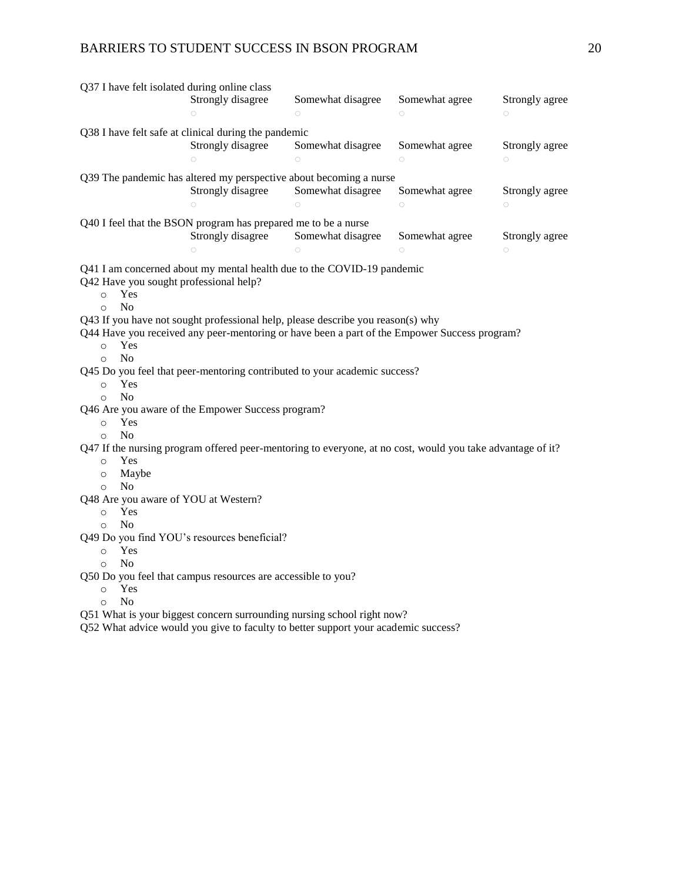### BARRIERS TO STUDENT SUCCESS IN BSON PROGRAM 20

| Q37 I have felt isolated during online class                                                               |                                                                                              |                   |                |                |  |  |
|------------------------------------------------------------------------------------------------------------|----------------------------------------------------------------------------------------------|-------------------|----------------|----------------|--|--|
|                                                                                                            | Strongly disagree                                                                            | Somewhat disagree | Somewhat agree | Strongly agree |  |  |
|                                                                                                            | $\bigcirc$                                                                                   | $\bigcirc$        | $\bigcirc$     | $\bigcirc$     |  |  |
| Q38 I have felt safe at clinical during the pandemic                                                       |                                                                                              |                   |                |                |  |  |
|                                                                                                            | Strongly disagree                                                                            | Somewhat disagree | Somewhat agree | Strongly agree |  |  |
|                                                                                                            | $\bigcirc$                                                                                   | $\bigcirc$        | $\circ$        | $\circ$        |  |  |
|                                                                                                            |                                                                                              |                   |                |                |  |  |
| Q39 The pandemic has altered my perspective about becoming a nurse                                         |                                                                                              |                   |                |                |  |  |
|                                                                                                            | Strongly disagree                                                                            | Somewhat disagree | Somewhat agree | Strongly agree |  |  |
|                                                                                                            | $\bigcirc$                                                                                   | $\bigcirc$        | $\bigcirc$     | $\circ$        |  |  |
| Q40 I feel that the BSON program has prepared me to be a nurse                                             |                                                                                              |                   |                |                |  |  |
|                                                                                                            | Strongly disagree                                                                            | Somewhat disagree | Somewhat agree | Strongly agree |  |  |
|                                                                                                            |                                                                                              |                   | $\bigcirc$     | $\circ$        |  |  |
|                                                                                                            | Q41 I am concerned about my mental health due to the COVID-19 pandemic                       |                   |                |                |  |  |
| Q42 Have you sought professional help?                                                                     |                                                                                              |                   |                |                |  |  |
| Yes<br>$\circ$                                                                                             |                                                                                              |                   |                |                |  |  |
| No<br>$\circ$                                                                                              |                                                                                              |                   |                |                |  |  |
|                                                                                                            | Q43 If you have not sought professional help, please describe you reason(s) why              |                   |                |                |  |  |
|                                                                                                            | Q44 Have you received any peer-mentoring or have been a part of the Empower Success program? |                   |                |                |  |  |
| Yes<br>$\circ$                                                                                             |                                                                                              |                   |                |                |  |  |
| N <sub>0</sub><br>$\circ$                                                                                  |                                                                                              |                   |                |                |  |  |
|                                                                                                            | Q45 Do you feel that peer-mentoring contributed to your academic success?                    |                   |                |                |  |  |
| Yes<br>$\circ$                                                                                             |                                                                                              |                   |                |                |  |  |
| N <sub>o</sub><br>$\circ$                                                                                  |                                                                                              |                   |                |                |  |  |
| Q46 Are you aware of the Empower Success program?                                                          |                                                                                              |                   |                |                |  |  |
| Yes<br>$\circ$                                                                                             |                                                                                              |                   |                |                |  |  |
| N <sub>0</sub><br>$\circ$                                                                                  |                                                                                              |                   |                |                |  |  |
| Q47 If the nursing program offered peer-mentoring to everyone, at no cost, would you take advantage of it? |                                                                                              |                   |                |                |  |  |
| Yes<br>$\circ$<br>Maybe<br>$\circ$                                                                         |                                                                                              |                   |                |                |  |  |
| N <sub>0</sub><br>$\circ$                                                                                  |                                                                                              |                   |                |                |  |  |
| Q48 Are you aware of YOU at Western?                                                                       |                                                                                              |                   |                |                |  |  |
| Yes<br>$\circ$                                                                                             |                                                                                              |                   |                |                |  |  |
| No<br>$\circ$                                                                                              |                                                                                              |                   |                |                |  |  |
| Q49 Do you find YOU's resources beneficial?                                                                |                                                                                              |                   |                |                |  |  |
| Yes<br>$\circ$                                                                                             |                                                                                              |                   |                |                |  |  |
| N <sub>0</sub><br>$\Omega$                                                                                 |                                                                                              |                   |                |                |  |  |
| Q50 Do you feel that campus resources are accessible to you?                                               |                                                                                              |                   |                |                |  |  |
| Yes<br>$\circ$                                                                                             |                                                                                              |                   |                |                |  |  |
| N <sub>0</sub><br>$\circ$                                                                                  |                                                                                              |                   |                |                |  |  |
| Q51 What is your biggest concern surrounding nursing school right now?                                     |                                                                                              |                   |                |                |  |  |
| Q52 What advice would you give to faculty to better support your academic success?                         |                                                                                              |                   |                |                |  |  |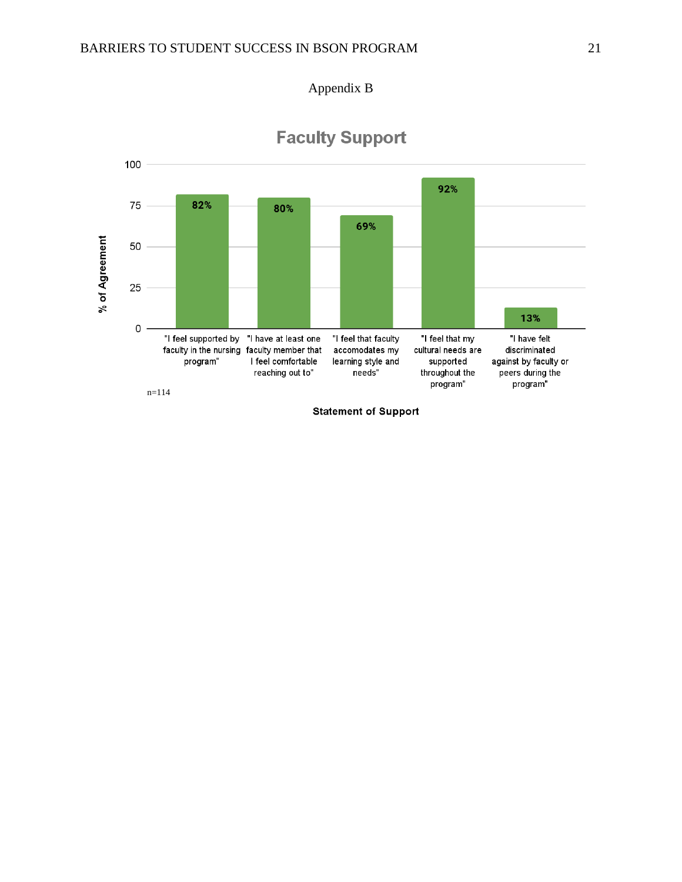



# **Faculty Support**

**Statement of Support**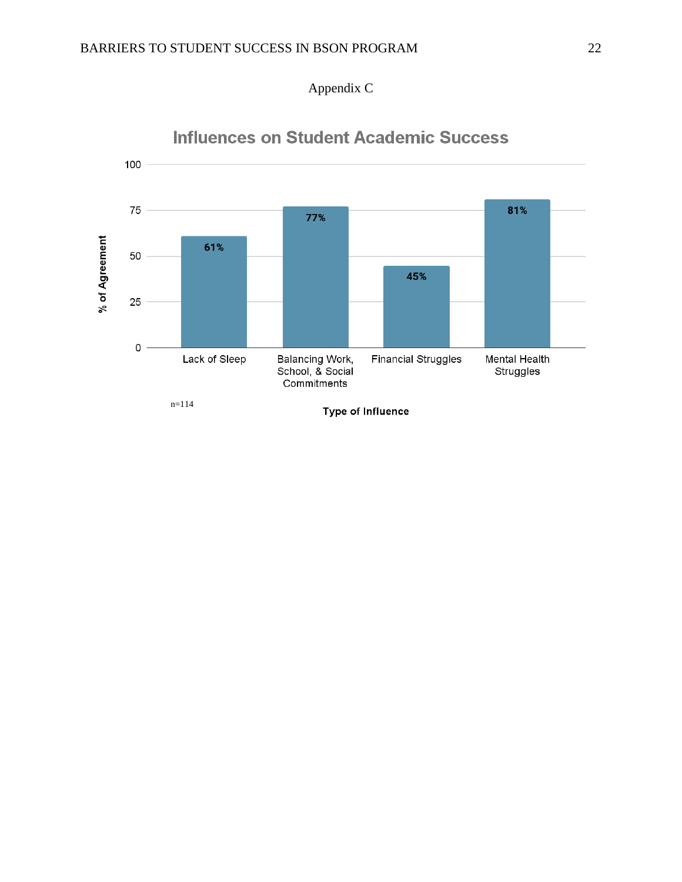



### **Influences on Student Academic Success**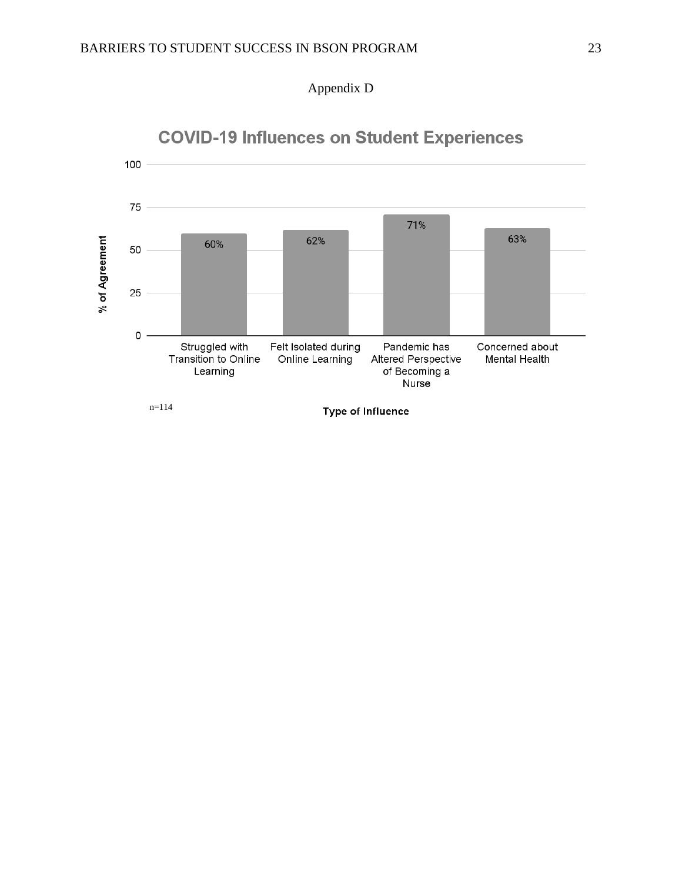

# **COVID-19 Influences on Student Experiences**

Appendix D

n=114

**Type of Influence**